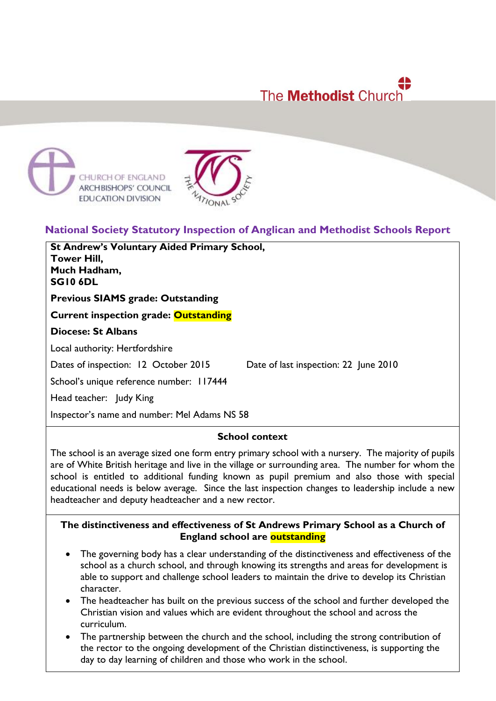# The **Methodist** Church





# **National Society Statutory Inspection of Anglican and Methodist Schools Report**

**St Andrew's Voluntary Aided Primary School, Tower Hill, Much Hadham, SG10 6DL**

# **Previous SIAMS grade: Outstanding**

**Current inspection grade: Outstanding**

## **Diocese: St Albans**

Local authority: Hertfordshire

Dates of inspection: 12 October 2015 Date of last inspection: 22 June 2010

School's unique reference number: 117444

Head teacher: Judy King

Inspector's name and number: Mel Adams NS 58

## **School context**

The school is an average sized one form entry primary school with a nursery. The majority of pupils are of White British heritage and live in the village or surrounding area. The number for whom the school is entitled to additional funding known as pupil premium and also those with special educational needs is below average. Since the last inspection changes to leadership include a new headteacher and deputy headteacher and a new rector.

# **The distinctiveness and effectiveness of St Andrews Primary School as a Church of England school are outstanding**

- The governing body has a clear understanding of the distinctiveness and effectiveness of the school as a church school, and through knowing its strengths and areas for development is able to support and challenge school leaders to maintain the drive to develop its Christian character.
- The headteacher has built on the previous success of the school and further developed the Christian vision and values which are evident throughout the school and across the curriculum.
- The partnership between the church and the school, including the strong contribution of the rector to the ongoing development of the Christian distinctiveness, is supporting the day to day learning of children and those who work in the school.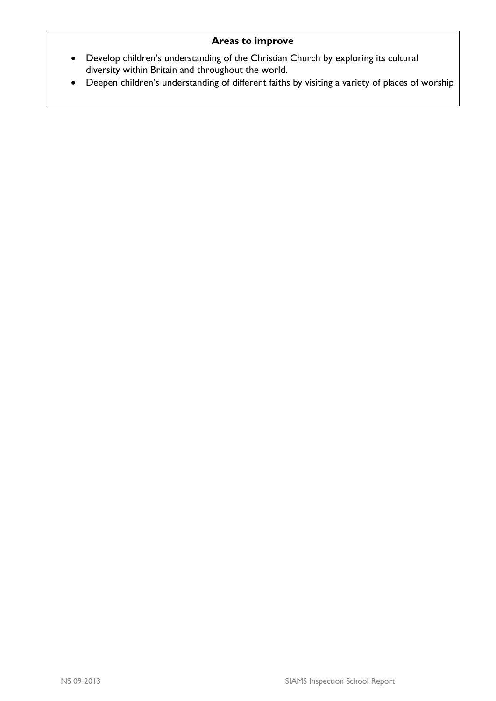# **Areas to improve**

- Develop children's understanding of the Christian Church by exploring its cultural diversity within Britain and throughout the world.
- Deepen children's understanding of different faiths by visiting a variety of places of worship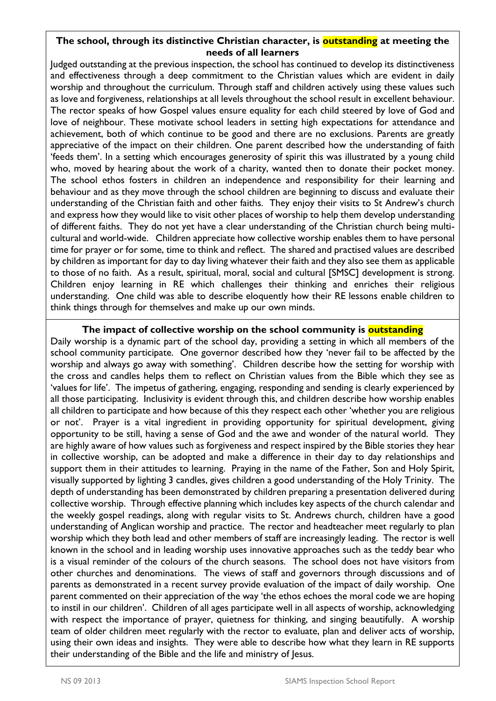# **The school, through its distinctive Christian character, is outstanding at meeting the needs of all learners**

Judged outstanding at the previous inspection, the school has continued to develop its distinctiveness and effectiveness through a deep commitment to the Christian values which are evident in daily worship and throughout the curriculum. Through staff and children actively using these values such as love and forgiveness, relationships at all levels throughout the school result in excellent behaviour. The rector speaks of how Gospel values ensure equality for each child steered by love of God and love of neighbour. These motivate school leaders in setting high expectations for attendance and achievement, both of which continue to be good and there are no exclusions. Parents are greatly appreciative of the impact on their children. One parent described how the understanding of faith 'feeds them'. In a setting which encourages generosity of spirit this was illustrated by a young child who, moved by hearing about the work of a charity, wanted then to donate their pocket money. The school ethos fosters in children an independence and responsibility for their learning and behaviour and as they move through the school children are beginning to discuss and evaluate their understanding of the Christian faith and other faiths. They enjoy their visits to St Andrew's church and express how they would like to visit other places of worship to help them develop understanding of different faiths. They do not yet have a clear understanding of the Christian church being multicultural and world-wide. Children appreciate how collective worship enables them to have personal time for prayer or for some, time to think and reflect. The shared and practised values are described by children as important for day to day living whatever their faith and they also see them as applicable to those of no faith. As a result, spiritual, moral, social and cultural [SMSC] development is strong. Children enjoy learning in RE which challenges their thinking and enriches their religious understanding. One child was able to describe eloquently how their RE lessons enable children to think things through for themselves and make up our own minds.

## **The impact of collective worship on the school community is outstanding**

Daily worship is a dynamic part of the school day, providing a setting in which all members of the school community participate. One governor described how they 'never fail to be affected by the worship and always go away with something'. Children describe how the setting for worship with the cross and candles helps them to reflect on Christian values from the Bible which they see as 'values for life'. The impetus of gathering, engaging, responding and sending is clearly experienced by all those participating. Inclusivity is evident through this, and children describe how worship enables all children to participate and how because of this they respect each other 'whether you are religious or not'. Prayer is a vital ingredient in providing opportunity for spiritual development, giving opportunity to be still, having a sense of God and the awe and wonder of the natural world. They are highly aware of how values such as forgiveness and respect inspired by the Bible stories they hear in collective worship, can be adopted and make a difference in their day to day relationships and support them in their attitudes to learning. Praying in the name of the Father, Son and Holy Spirit, visually supported by lighting 3 candles, gives children a good understanding of the Holy Trinity. The depth of understanding has been demonstrated by children preparing a presentation delivered during collective worship. Through effective planning which includes key aspects of the church calendar and the weekly gospel readings, along with regular visits to St. Andrews church, children have a good understanding of Anglican worship and practice. The rector and headteacher meet regularly to plan worship which they both lead and other members of staff are increasingly leading. The rector is well known in the school and in leading worship uses innovative approaches such as the teddy bear who is a visual reminder of the colours of the church seasons. The school does not have visitors from other churches and denominations. The views of staff and governors through discussions and of parents as demonstrated in a recent survey provide evaluation of the impact of daily worship. One parent commented on their appreciation of the way 'the ethos echoes the moral code we are hoping to instil in our children'. Children of all ages participate well in all aspects of worship, acknowledging with respect the importance of prayer, quietness for thinking, and singing beautifully. A worship team of older children meet regularly with the rector to evaluate, plan and deliver acts of worship, using their own ideas and insights. They were able to describe how what they learn in RE supports their understanding of the Bible and the life and ministry of Jesus.